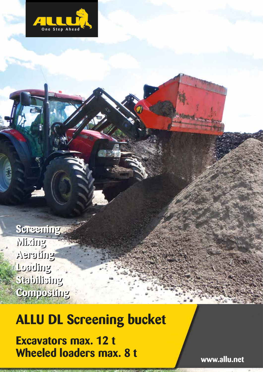

**Screening Screening Mixing Mixing Aerating Aerating Loading Loading Stabilising Stabilising Composting Composting**

# **ALLU DL Screening bucket**

**Excavators max. 12 t Wheeled loaders max. 8 t**

**www.allu.net**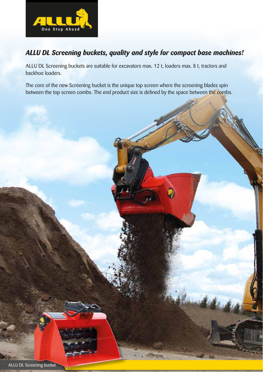

# *ALLU DL Screening buckets, quality and style for compact base machines!*

ALLU DL Screening buckets are suitable for excavators max. 12 t, loaders max. 8 t, tractors and backhoe loaders.

The core of the new Screening bucket is the unique top screen where the screening blades spin between the top screen combs. The end product size is defined by the space between the combs.

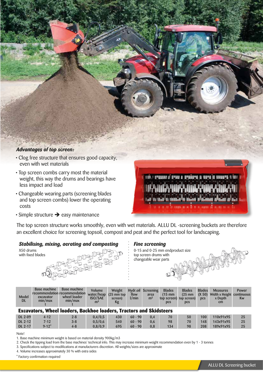

- Top screen combs carry most the material weight, this way the drums and bearings have less impact and load
- Changeable wearing parts (screening blades and top screen combs) lower the operating costs
- $\cdot$  Simple structure  $\rightarrow$  easy maintenance

The top screen structure works smoothly, even with wet materials. ALLU DL -screening buckets are therefore an excellent choice for screening topsoil, compost and peat and the perfect tool for landscaping.

## *Stabilising, mixing, aerating and composting Fine screening*

| X50 drums<br>with fixed blades |  |
|--------------------------------|--|
|                                |  |

0-15 and 0-25 mm endproduct size top screen drums with changeable wear parts

an atrodo at masala in shinin in masala na n

| Model<br><b>DL</b>                                                         | Base machine<br>recommendation recommendation<br>excavator<br>min/max | <b>Base machine</b><br>wheel loader<br>min/max | <b>Volume</b><br>water/heap<br><b>ISO/SAE</b><br>m <sup>3</sup> | Weight<br>$(25 \, \text{mm}$ top<br>screen)<br>Kg | flow<br>$1/m$ in | <b>Hydr.oil Screening</b><br>area<br>m <sup>2</sup> | <b>Blades</b><br>$(15 \text{ mm})$<br><b>DCS</b> | <b>Blades</b><br>$(25 \text{ mm})$<br>top screen) top screen)<br><b>DCS</b> | <b>Blades</b><br>(X 50)<br><b>DCS</b> | <b>Measures</b><br>Width x Height continuous<br>x Depth<br>cm | <b>Power</b><br><b>Kw</b> |
|----------------------------------------------------------------------------|-----------------------------------------------------------------------|------------------------------------------------|-----------------------------------------------------------------|---------------------------------------------------|------------------|-----------------------------------------------------|--------------------------------------------------|-----------------------------------------------------------------------------|---------------------------------------|---------------------------------------------------------------|---------------------------|
| <b>Excavators, Wheel loaders, Backhoe loaders, Tractors and Skidsteers</b> |                                                                       |                                                |                                                                 |                                                   |                  |                                                     |                                                  |                                                                             |                                       |                                                               |                           |
| <b>DL 2-09</b>                                                             | $4 - 12$                                                              | $2 - 8$                                        | 0,4/0,5                                                         | 430                                               | $60 - 90$        | 0.4                                                 | 70                                               | 50                                                                          | 100                                   | 110x91x95                                                     | 25                        |
| DL 2-12                                                                    | $7-12$                                                                | $3 - 8$                                        | 0,5/0,6                                                         | 540                                               | $60 - 90$        | 0.6                                                 | 98                                               | 70                                                                          | 148                                   | 143x91x95                                                     | 25                        |
| DL 2-17                                                                    | $9-12$ <sup>*</sup>                                                   | $4 - 8$                                        | 0,8/0,9                                                         | 695                                               | $60 - 90$        | 0.8                                                 | 134                                              | 98                                                                          | 208                                   | 189x91x95                                                     | 25                        |

Note!

- 1. Base machine minimum weight is based on material density 900kg/m3
- 2. Check the tipping load from the base machines' technical info. This may increase minimum weight recommendation even by 1 3 tonnes
- 3. Specifications subject to modifications at manufacturers discretion. All weights/sizes are approximate
- 4. Volume increases approximately 30 % with extra sides

\* Factory confirmation required